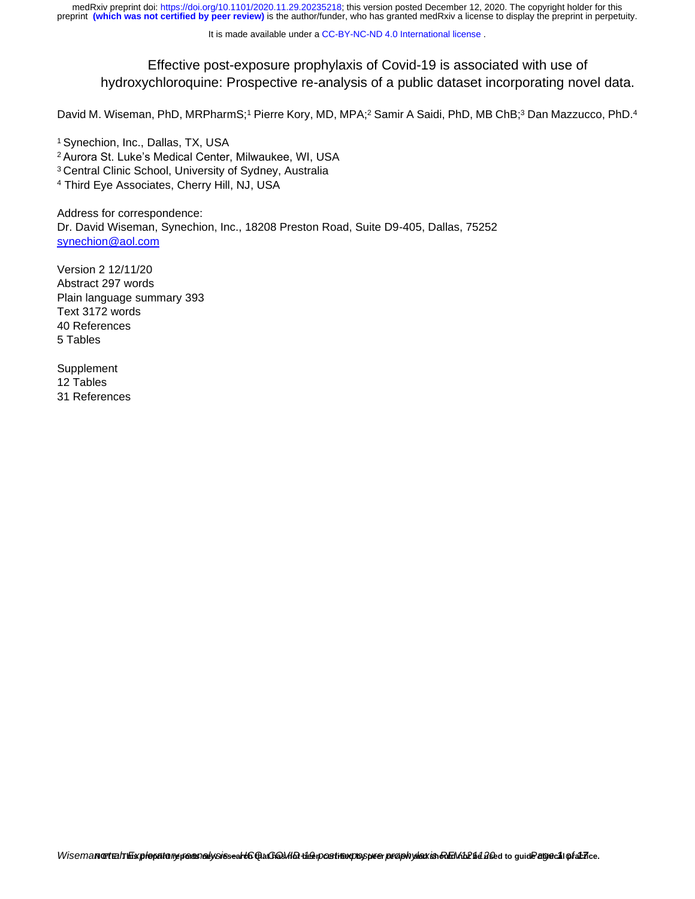It is made available under a CC-BY-NC-ND 4.0 International license.

# Effective post-exposure prophylaxis of Covid-19 is associated with use of hydroxychloroquine: Prospective re-analysis of a public dataset incorporating novel data.

David M. Wiseman, PhD, MRPharmS;<sup>1</sup> Pierre Kory, MD, MPA;<sup>2</sup> Samir A Saidi, PhD, MB ChB;<sup>3</sup> Dan Mazzucco, PhD.<sup>4</sup>

<sup>1</sup> Synechion, Inc., Dallas, TX, USA <sup>2</sup>Aurora St. Luke's Medical Center, Milwaukee, WI, USA <sup>3</sup> Central Clinic School, University of Sydney, Australia <sup>4</sup> Third Eye Associates, Cherry Hill, NJ, USA

Address for correspondence: Dr. David Wiseman, Synechion, Inc., 18208 Preston Road, Suite D9-405, Dallas, 75252 [synechion@aol.com](mailto:synechion@aol.com)

Version 2 12/11/20 Abstract 297 words Plain language summary 393 Text 3172 words 40 References 5 Tables

Supplement 12 Tables 31 References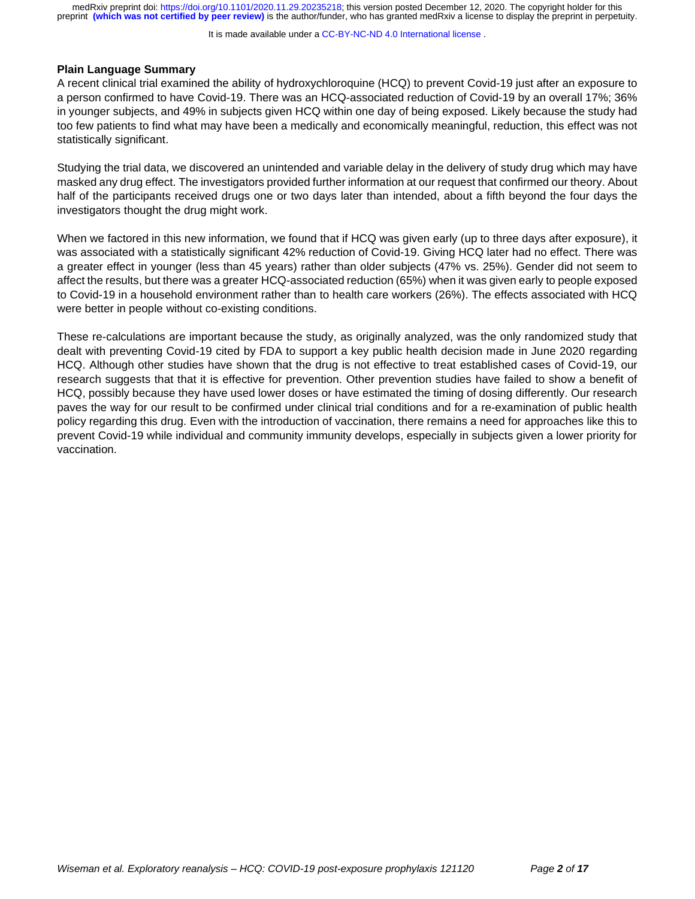It is made available under a CC-BY-NC-ND 4.0 International license.

# **Plain Language Summary**

A recent clinical trial examined the ability of hydroxychloroquine (HCQ) to prevent Covid-19 just after an exposure to a person confirmed to have Covid-19. There was an HCQ-associated reduction of Covid-19 by an overall 17%; 36% in younger subjects, and 49% in subjects given HCQ within one day of being exposed. Likely because the study had too few patients to find what may have been a medically and economically meaningful, reduction, this effect was not statistically significant.

Studying the trial data, we discovered an unintended and variable delay in the delivery of study drug which may have masked any drug effect. The investigators provided further information at our request that confirmed our theory. About half of the participants received drugs one or two days later than intended, about a fifth beyond the four days the investigators thought the drug might work.

When we factored in this new information, we found that if HCQ was given early (up to three days after exposure), it was associated with a statistically significant 42% reduction of Covid-19. Giving HCQ later had no effect. There was a greater effect in younger (less than 45 years) rather than older subjects (47% vs. 25%). Gender did not seem to affect the results, but there was a greater HCQ-associated reduction (65%) when it was given early to people exposed to Covid-19 in a household environment rather than to health care workers (26%). The effects associated with HCQ were better in people without co-existing conditions.

These re-calculations are important because the study, as originally analyzed, was the only randomized study that dealt with preventing Covid-19 cited by FDA to support a key public health decision made in June 2020 regarding HCQ. Although other studies have shown that the drug is not effective to treat established cases of Covid-19, our research suggests that that it is effective for prevention. Other prevention studies have failed to show a benefit of HCQ, possibly because they have used lower doses or have estimated the timing of dosing differently. Our research paves the way for our result to be confirmed under clinical trial conditions and for a re-examination of public health policy regarding this drug. Even with the introduction of vaccination, there remains a need for approaches like this to prevent Covid-19 while individual and community immunity develops, especially in subjects given a lower priority for vaccination.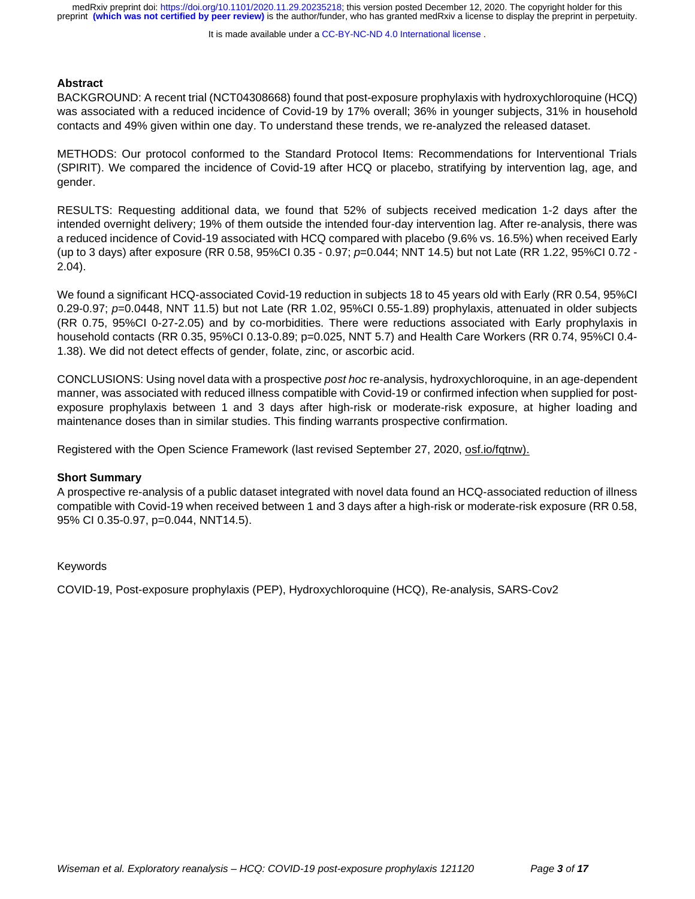It is made available under a CC-BY-NC-ND 4.0 International license.

#### **Abstract**

BACKGROUND: A recent trial [\(NCT04308668\)](https://www.medrxiv.org/lookup/external-ref?link_type=CLINTRIALGOV&access_num=NCT04308668&atom=%2Fmedrxiv%2Fearly%2F2020%2F08%2F26%2F2020.08.19.20178376.atom) found that post-exposure prophylaxis with hydroxychloroquine (HCQ) was associated with a reduced incidence of Covid-19 by 17% overall; 36% in younger subjects, 31% in household contacts and 49% given within one day. To understand these trends, we re-analyzed the released dataset.

METHODS: Our protocol conformed to the Standard Protocol Items: Recommendations for Interventional Trials (SPIRIT). We compared the incidence of Covid-19 after HCQ or placebo, stratifying by intervention lag, age, and gender.

RESULTS: Requesting additional data, we found that 52% of subjects received medication 1-2 days after the intended overnight delivery; 19% of them outside the intended four-day intervention lag. After re-analysis, there was a reduced incidence of Covid-19 associated with HCQ compared with placebo (9.6% vs. 16.5%) when received Early (up to 3 days) after exposure (RR 0.58, 95%CI 0.35 - 0.97; *p*=0.044; NNT 14.5) but not Late (RR 1.22, 95%CI 0.72 - 2.04).

We found a significant HCQ-associated Covid-19 reduction in subjects 18 to 45 years old with Early (RR 0.54, 95%CI 0.29-0.97; *p*=0.0448, NNT 11.5) but not Late (RR 1.02, 95%CI 0.55-1.89) prophylaxis, attenuated in older subjects (RR 0.75, 95%CI 0-27-2.05) and by co-morbidities. There were reductions associated with Early prophylaxis in household contacts (RR 0.35, 95%CI 0.13-0.89; p=0.025, NNT 5.7) and Health Care Workers (RR 0.74, 95%CI 0.4- 1.38). We did not detect effects of gender, folate, zinc, or ascorbic acid.

CONCLUSIONS: Using novel data with a prospective *post hoc* re-analysis, hydroxychloroquine, in an age-dependent manner, was associated with reduced illness compatible with Covid-19 or confirmed infection when supplied for postexposure prophylaxis between 1 and 3 days after high-risk or moderate-risk exposure, at higher loading and maintenance doses than in similar studies. This finding warrants prospective confirmation.

Registered with the Open Science Framework (last revised September 27, 2020, osf.io/fqtnw).

#### **Short Summary**

A prospective re-analysis of a public dataset integrated with novel data found an HCQ-associated reduction of illness compatible with Covid-19 when received between 1 and 3 days after a high-risk or moderate-risk exposure (RR 0.58, 95% CI 0.35-0.97, p=0.044, NNT14.5).

#### Keywords

COVID‐19, Post-exposure prophylaxis (PEP), Hydroxychloroquine (HCQ), Re-analysis, SARS-Cov2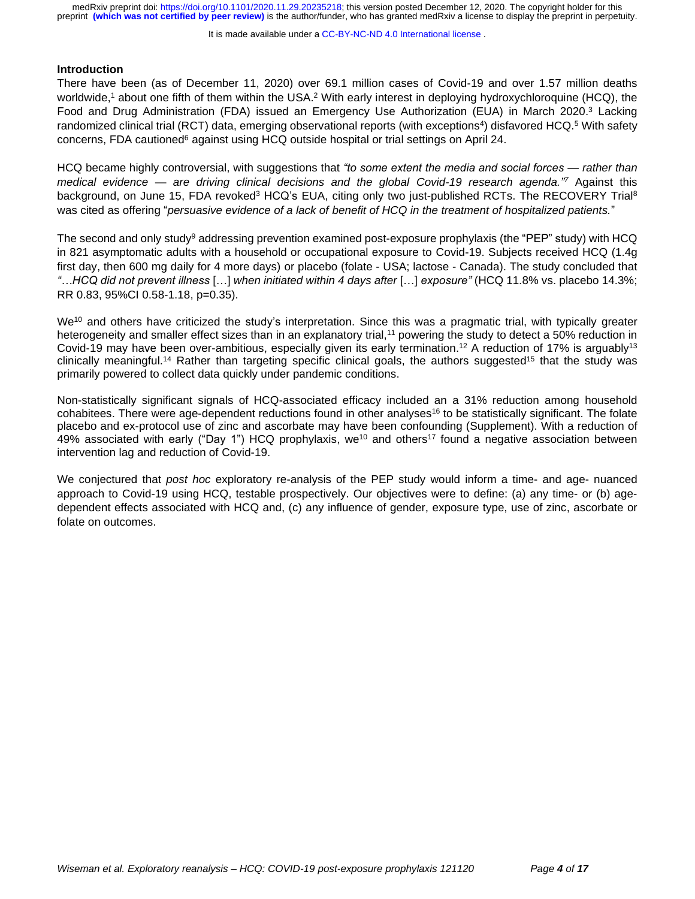It is made available under a CC-BY-NC-ND 4.0 International license.

#### **Introduction**

There have been (as of December 11, 2020) over 69.1 million cases of Covid-19 and over 1.57 million deaths worldwide,<sup>1</sup> about one fifth of them within the USA.<sup>2</sup> With early interest in deploying hydroxychloroquine (HCQ), the Food and Drug Administration (FDA) issued an Emergency Use Authorization (EUA) in March 2020.<sup>3</sup> Lacking randomized clinical trial (RCT) data, emerging observational reports (with exceptions<sup>4</sup>) disfavored HCQ.<sup>5</sup> With safety concerns, FDA cautioned<sup>6</sup> against using HCQ outside hospital or trial settings on April 24.

HCQ became highly controversial, with suggestions that *"to some extent the media and social forces — rather than medical evidence — are driving clinical decisions and the global Covid-19 research agenda." <sup>7</sup>* Against this background, on June 15, FDA revoked<sup>3</sup> HCQ's EUA, citing only two just-published RCTs. The RECOVERY Trial<sup>8</sup> was cited as offering "*persuasive evidence of a lack of benefit of HCQ in the treatment of hospitalized patients.*"

The second and only study<sup>9</sup> addressing prevention examined post-exposure prophylaxis (the "PEP" study) with HCQ in 821 asymptomatic adults with a household or occupational exposure to Covid-19. Subjects received HCQ (1.4g first day, then 600 mg daily for 4 more days) or placebo (folate - USA; lactose - Canada). The study concluded that *"…HCQ did not prevent illness* […] *when initiated within 4 days after* […] *exposure"* (HCQ 11.8% vs. placebo 14.3%; RR 0.83, 95%CI 0.58-1.18, p=0.35).

We<sup>10</sup> and others have criticized the study's interpretation. Since this was a pragmatic trial, with typically greater heterogeneity and smaller effect sizes than in an explanatory trial,<sup>11</sup> powering the study to detect a 50% reduction in Covid-19 may have been over-ambitious, especially given its early termination.<sup>12</sup> A reduction of 17% is arguably<sup>13</sup> clinically meaningful.<sup>14</sup> Rather than targeting specific clinical goals, the authors suggested<sup>15</sup> that the study was primarily powered to collect data quickly under pandemic conditions.

Non-statistically significant signals of HCQ-associated efficacy included an a 31% reduction among household cohabitees. There were age-dependent reductions found in other analyses<sup>16</sup> to be statistically significant. The folate placebo and ex-protocol use of zinc and ascorbate may have been confounding (Supplement). With a reduction of 49% associated with early ("Day 1") HCQ prophylaxis, we<sup>10</sup> and others<sup>17</sup> found a negative association between intervention lag and reduction of Covid-19.

We conjectured that *post hoc* exploratory re-analysis of the PEP study would inform a time- and age- nuanced approach to Covid-19 using HCQ, testable prospectively. Our objectives were to define: (a) any time- or (b) agedependent effects associated with HCQ and, (c) any influence of gender, exposure type, use of zinc, ascorbate or folate on outcomes.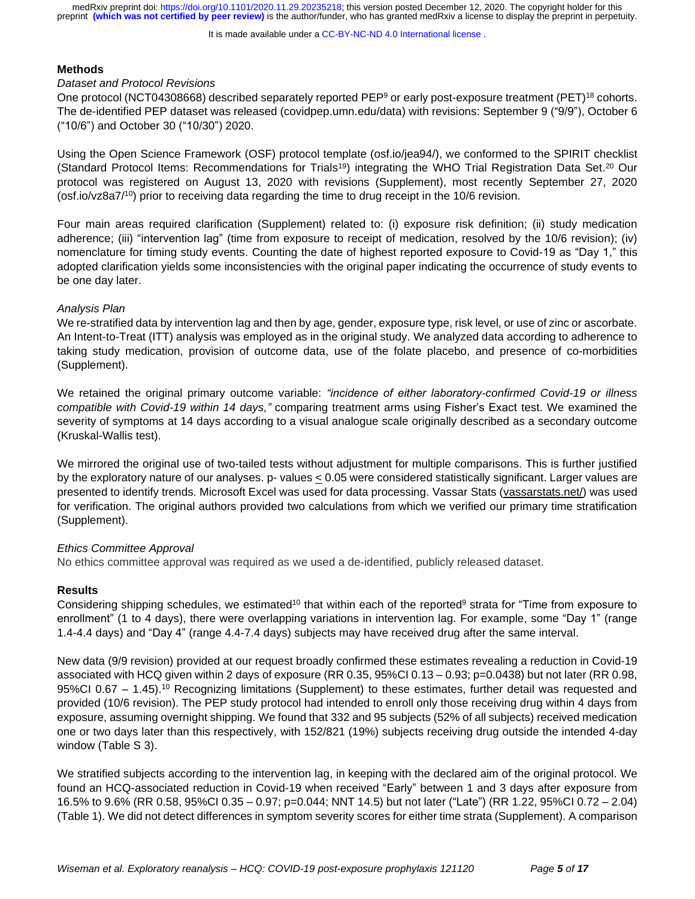It is made available under a CC-BY-NC-ND 4.0 International license.

# **Methods**

#### *Dataset and Protocol Revisions*

One protocol (NCT04308668) described separately reported PEP<sup>9</sup> or early post-exposure treatment (PET)<sup>18</sup> cohorts. The de-identified PEP dataset was released (covidpep.umn.edu/data) with revisions: September 9 ("9/9"), October 6 ("10/6") and October 30 ("10/30") 2020.

Using the Open Science Framework (OSF) protocol template (osf.io/jea94/), we conformed to the SPIRIT checklist (Standard Protocol Items: Recommendations for Trials<sup>19</sup>) integrating the WHO Trial Registration Data Set.<sup>20</sup> Our protocol was registered on August 13, 2020 with revisions (Supplement), most recently September 27, 2020 (osf.io/vz8a7/<sup>10</sup>) prior to receiving data regarding the time to drug receipt in the 10/6 revision.

Four main areas required clarification (Supplement) related to: (i) exposure risk definition; (ii) study medication adherence; (iii) "intervention lag" (time from exposure to receipt of medication, resolved by the 10/6 revision); (iv) nomenclature for timing study events. Counting the date of highest reported exposure to Covid-19 as "Day 1," this adopted clarification yields some inconsistencies with the original paper indicating the occurrence of study events to be one day later.

# *Analysis Plan*

We re-stratified data by intervention lag and then by age, gender, exposure type, risk level, or use of zinc or ascorbate. An Intent-to-Treat (ITT) analysis was employed as in the original study. We analyzed data according to adherence to taking study medication, provision of outcome data, use of the folate placebo, and presence of co-morbidities (Supplement).

We retained the original primary outcome variable: *"incidence of either laboratory-confirmed Covid-19 or illness compatible with Covid-19 within 14 days,"* comparing treatment arms using Fisher's Exact test. We examined the severity of symptoms at 14 days according to a visual analogue scale originally described as a secondary outcome (Kruskal-Wallis test).

We mirrored the original use of two-tailed tests without adjustment for multiple comparisons. This is further justified by the exploratory nature of our analyses. p- values < 0.05 were considered statistically significant. Larger values are presented to identify trends. Microsoft Excel was used for data processing. Vassar Stats ([vassarstats.net/\)](http://www.vassarstats.net/) was used for verification. The original authors provided two calculations from which we verified our primary time stratification (Supplement).

## *Ethics Committee Approval*

No ethics committee approval was required as we used a de-identified, publicly released dataset.

# **Results**

Considering shipping schedules, we estimated<sup>10</sup> that within each of the reported<sup>9</sup> strata for "Time from exposure to enrollment" (1 to 4 days), there were overlapping variations in intervention lag. For example, some "Day 1" (range 1.4-4.4 days) and "Day 4" (range 4.4-7.4 days) subjects may have received drug after the same interval.

New data (9/9 revision) provided at our request broadly confirmed these estimates revealing a reduction in Covid-19 associated with HCQ given within 2 days of exposure (RR 0.35, 95%CI 0.13 – 0.93; p=0.0438) but not later (RR 0.98, 95%CI 0.67 – 1.45). <sup>10</sup> Recognizing limitations (Supplement) to these estimates, further detail was requested and provided (10/6 revision). The PEP study protocol had intended to enroll only those receiving drug within 4 days from exposure, assuming overnight shipping. We found that 332 and 95 subjects (52% of all subjects) received medication one or two days later than this respectively, with 152/821 (19%) subjects receiving drug outside the intended 4-day window (Table S 3).

We stratified subjects according to the intervention lag, in keeping with the declared aim of the original protocol. We found an HCQ-associated reduction in Covid-19 when received "Early" between 1 and 3 days after exposure from 16.5% to 9.6% (RR 0.58, 95%CI 0.35 – 0.97; p=0.044; NNT 14.5) but not later ("Late") (RR 1.22, 95%CI 0.72 – 2.04) [\(Table 1\)](#page-12-0). We did not detect differences in symptom severity scores for either time strata (Supplement). A comparison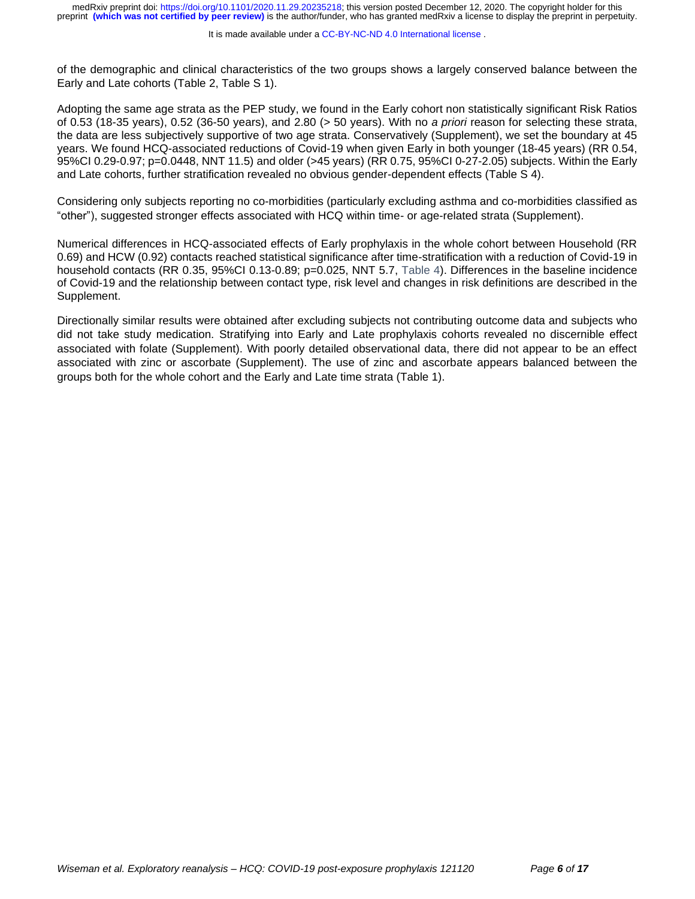of the demographic and clinical characteristics of the two groups shows a largely conserved balance between the Early and Late cohorts [\(Table 2,](#page-13-0) Table S 1).

Adopting the same age strata as the PEP study, we found in the Early cohort non statistically significant Risk Ratios of 0.53 (18-35 years), 0.52 (36-50 years), and 2.80 (> 50 years). With no *a priori* reason for selecting these strata, the data are less subjectively supportive of two age strata. Conservatively (Supplement), we set the boundary at 45 years. We found HCQ-associated reductions of Covid-19 when given Early in both younger (18-45 years) (RR 0.54, 95%CI 0.29-0.97; p=0.0448, NNT 11.5) and older (>45 years) (RR 0.75, 95%CI 0-27-2.05) subjects. Within the Early and Late cohorts, further stratification revealed no obvious gender-dependent effects (Table S 4).

Considering only subjects reporting no co-morbidities (particularly excluding asthma and co-morbidities classified as "other"), suggested stronger effects associated with HCQ within time- or age-related strata (Supplement).

Numerical differences in HCQ-associated effects of Early prophylaxis in the whole cohort between Household (RR 0.69) and HCW (0.92) contacts reached statistical significance after time-stratification with a reduction of Covid-19 in household contacts (RR 0.35, 95%CI 0.13-0.89; p=0.025, NNT 5.7, [Table 4\)](#page-15-0). Differences in the baseline incidence of Covid-19 and the relationship between contact type, risk level and changes in risk definitions are described in the Supplement.

Directionally similar results were obtained after excluding subjects not contributing outcome data and subjects who did not take study medication. Stratifying into Early and Late prophylaxis cohorts revealed no discernible effect associated with folate (Supplement). With poorly detailed observational data, there did not appear to be an effect associated with zinc or ascorbate (Supplement). The use of zinc and ascorbate appears balanced between the groups both for the whole cohort and the Early and Late time strata [\(Table 1\)](#page-12-0).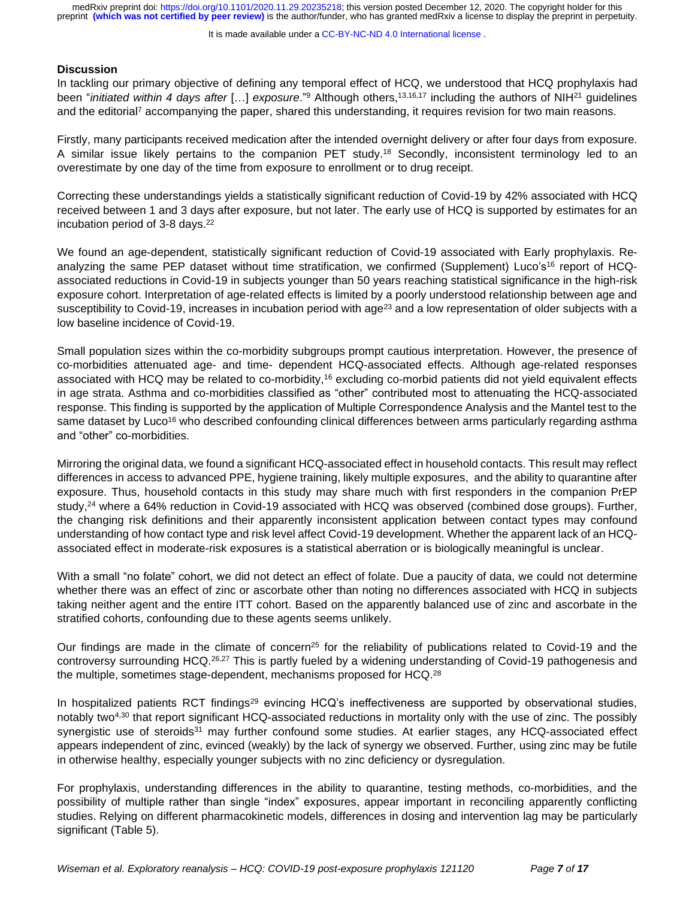It is made available under a CC-BY-NC-ND 4.0 International license.

#### **Discussion**

In tackling our primary objective of defining any temporal effect of HCQ, we understood that HCQ prophylaxis had been "*initiated within 4 days after* […] *exposure*."<sup>9</sup> Although others, 13,16,17 including the authors of NIH<sup>21</sup> guidelines and the editorial<sup>7</sup> accompanying the paper, shared this understanding, it requires revision for two main reasons.

Firstly, many participants received medication after the intended overnight delivery or after four days from exposure. A similar issue likely pertains to the companion PET study.<sup>18</sup> Secondly, inconsistent terminology led to an overestimate by one day of the time from exposure to enrollment or to drug receipt.

Correcting these understandings yields a statistically significant reduction of Covid-19 by 42% associated with HCQ received between 1 and 3 days after exposure, but not later. The early use of HCQ is supported by estimates for an incubation period of 3-8 days. 22

We found an age-dependent, statistically significant reduction of Covid-19 associated with Early prophylaxis. Reanalyzing the same PEP dataset without time stratification, we confirmed (Supplement) Luco's<sup>16</sup> report of HCQassociated reductions in Covid-19 in subjects younger than 50 years reaching statistical significance in the high-risk exposure cohort. Interpretation of age-related effects is limited by a poorly understood relationship between age and susceptibility to Covid-19, increases in incubation period with age<sup>23</sup> and a low representation of older subjects with a low baseline incidence of Covid-19.

Small population sizes within the co-morbidity subgroups prompt cautious interpretation. However, the presence of co-morbidities attenuated age- and time- dependent HCQ-associated effects. Although age-related responses associated with HCQ may be related to co-morbidity,<sup>16</sup> excluding co-morbid patients did not yield equivalent effects in age strata. Asthma and co-morbidities classified as "other" contributed most to attenuating the HCQ-associated response. This finding is supported by the application of Multiple Correspondence Analysis and the Mantel test to the same dataset by Luco<sup>16</sup> who described confounding clinical differences between arms particularly regarding asthma and "other" co-morbidities.

Mirroring the original data, we found a significant HCQ-associated effect in household contacts. This result may reflect differences in access to advanced PPE, hygiene training, likely multiple exposures, and the ability to quarantine after exposure. Thus, household contacts in this study may share much with first responders in the companion PrEP study, <sup>24</sup> where a 64% reduction in Covid-19 associated with HCQ was observed (combined dose groups). Further, the changing risk definitions and their apparently inconsistent application between contact types may confound understanding of how contact type and risk level affect Covid-19 development. Whether the apparent lack of an HCQassociated effect in moderate-risk exposures is a statistical aberration or is biologically meaningful is unclear.

With a small "no folate" cohort, we did not detect an effect of folate. Due a paucity of data, we could not determine whether there was an effect of zinc or ascorbate other than noting no differences associated with HCQ in subjects taking neither agent and the entire ITT cohort. Based on the apparently balanced use of zinc and ascorbate in the stratified cohorts, confounding due to these agents seems unlikely.

Our findings are made in the climate of concern<sup>25</sup> for the reliability of publications related to Covid-19 and the controversy surrounding HCQ.<sup>26,27</sup> This is partly fueled by a widening understanding of Covid-19 pathogenesis and the multiple, sometimes stage-dependent, mechanisms proposed for HCQ.<sup>28</sup>

In hospitalized patients RCT findings<sup>29</sup> evincing HCQ's ineffectiveness are supported by observational studies, notably two4,30 that report significant HCQ-associated reductions in mortality only with the use of zinc. The possibly synergistic use of steroids<sup>31</sup> may further confound some studies. At earlier stages, any HCQ-associated effect appears independent of zinc, evinced (weakly) by the lack of synergy we observed. Further, using zinc may be futile in otherwise healthy, especially younger subjects with no zinc deficiency or dysregulation.

For prophylaxis, understanding differences in the ability to quarantine, testing methods, co-morbidities, and the possibility of multiple rather than single "index" exposures, appear important in reconciling apparently conflicting studies. Relying on different pharmacokinetic models, differences in dosing and intervention lag may be particularly significant [\(Table 5\)](#page-16-0).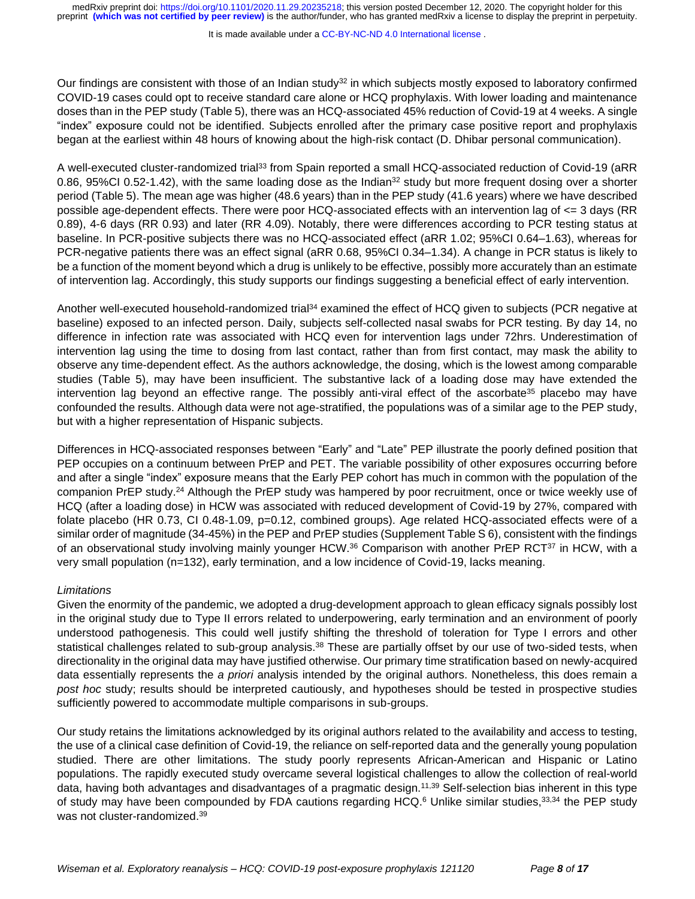It is made available under a CC-BY-NC-ND 4.0 International license.

Our findings are consistent with those of an Indian study<sup>32</sup> in which subjects mostly exposed to laboratory confirmed COVID-19 cases could opt to receive standard care alone or HCQ prophylaxis. With lower loading and maintenance doses than in the PEP study [\(Table 5\)](#page-16-0), there was an HCQ-associated 45% reduction of Covid-19 at 4 weeks. A single "index" exposure could not be identified. Subjects enrolled after the primary case positive report and prophylaxis began at the earliest within 48 hours of knowing about the high-risk contact (D. Dhibar personal communication).

A well-executed cluster-randomized trial<sup>33</sup> from Spain reported a small HCQ-associated reduction of Covid-19 (aRR 0.86, 95%CI 0.52-1.42), with the same loading dose as the Indian $32$  study but more frequent dosing over a shorter period [\(Table 5\)](#page-16-0). The mean age was higher (48.6 years) than in the PEP study (41.6 years) where we have described possible age-dependent effects. There were poor HCQ-associated effects with an intervention lag of <= 3 days (RR 0.89), 4-6 days (RR 0.93) and later (RR 4.09). Notably, there were differences according to PCR testing status at baseline. In PCR-positive subjects there was no HCQ-associated effect (aRR 1.02; 95%CI 0.64–1.63), whereas for PCR-negative patients there was an effect signal (aRR 0.68, 95%CI 0.34–1.34). A change in PCR status is likely to be a function of the moment beyond which a drug is unlikely to be effective, possibly more accurately than an estimate of intervention lag. Accordingly, this study supports our findings suggesting a beneficial effect of early intervention.

Another well-executed household-randomized trial<sup>34</sup> examined the effect of HCQ given to subjects (PCR negative at baseline) exposed to an infected person. Daily, subjects self-collected nasal swabs for PCR testing. By day 14, no difference in infection rate was associated with HCQ even for intervention lags under 72hrs. Underestimation of intervention lag using the time to dosing from last contact, rather than from first contact, may mask the ability to observe any time-dependent effect. As the authors acknowledge, the dosing, which is the lowest among comparable studies [\(Table 5\)](#page-16-0), may have been insufficient. The substantive lack of a loading dose may have extended the intervention lag beyond an effective range. The possibly anti-viral effect of the ascorbate<sup>35</sup> placebo may have confounded the results. Although data were not age-stratified, the populations was of a similar age to the PEP study, but with a higher representation of Hispanic subjects.

Differences in HCQ-associated responses between "Early" and "Late" PEP illustrate the poorly defined position that PEP occupies on a continuum between PrEP and PET. The variable possibility of other exposures occurring before and after a single "index" exposure means that the Early PEP cohort has much in common with the population of the companion PrEP study.<sup>24</sup> Although the PrEP study was hampered by poor recruitment, once or twice weekly use of HCQ (after a loading dose) in HCW was associated with reduced development of Covid-19 by 27%, compared with folate placebo (HR 0.73, CI 0.48-1.09, p=0.12, combined groups). Age related HCQ-associated effects were of a similar order of magnitude (34-45%) in the PEP and PrEP studies (Supplement Table S 6), consistent with the findings of an observational study involving mainly younger HCW.<sup>36</sup> Comparison with another PrEP RCT<sup>37</sup> in HCW, with a very small population (n=132), early termination, and a low incidence of Covid-19, lacks meaning.

## *Limitations*

Given the enormity of the pandemic, we adopted a drug-development approach to glean efficacy signals possibly lost in the original study due to Type II errors related to underpowering, early termination and an environment of poorly understood pathogenesis. This could well justify shifting the threshold of toleration for Type I errors and other statistical challenges related to sub-group analysis.<sup>38</sup> These are partially offset by our use of two-sided tests, when directionality in the original data may have justified otherwise. Our primary time stratification based on newly-acquired data essentially represents the *a priori* analysis intended by the original authors. Nonetheless, this does remain a *post hoc* study; results should be interpreted cautiously, and hypotheses should be tested in prospective studies sufficiently powered to accommodate multiple comparisons in sub-groups.

Our study retains the limitations acknowledged by its original authors related to the availability and access to testing, the use of a clinical case definition of Covid-19, the reliance on self-reported data and the generally young population studied. There are other limitations. The study poorly represents African-American and Hispanic or Latino populations. The rapidly executed study overcame several logistical challenges to allow the collection of real-world data, having both advantages and disadvantages of a pragmatic design.11,39 Self-selection bias inherent in this type of study may have been compounded by FDA cautions regarding HCQ.<sup>6</sup> Unlike similar studies, 33,34 the PEP study was not cluster-randomized.<sup>39</sup>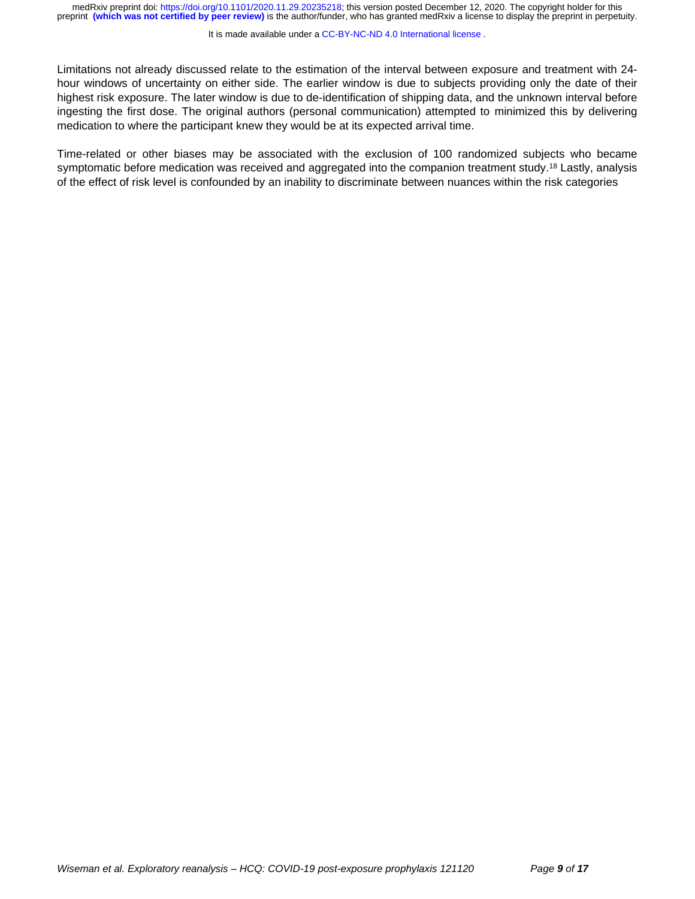#### It is made available under a CC-BY-NC-ND 4.0 International license.

Limitations not already discussed relate to the estimation of the interval between exposure and treatment with 24 hour windows of uncertainty on either side. The earlier window is due to subjects providing only the date of their highest risk exposure. The later window is due to de-identification of shipping data, and the unknown interval before ingesting the first dose. The original authors (personal communication) attempted to minimized this by delivering medication to where the participant knew they would be at its expected arrival time.

Time-related or other biases may be associated with the exclusion of 100 randomized subjects who became symptomatic before medication was received and aggregated into the companion treatment study.<sup>18</sup> Lastly, analysis of the effect of risk level is confounded by an inability to discriminate between nuances within the risk categories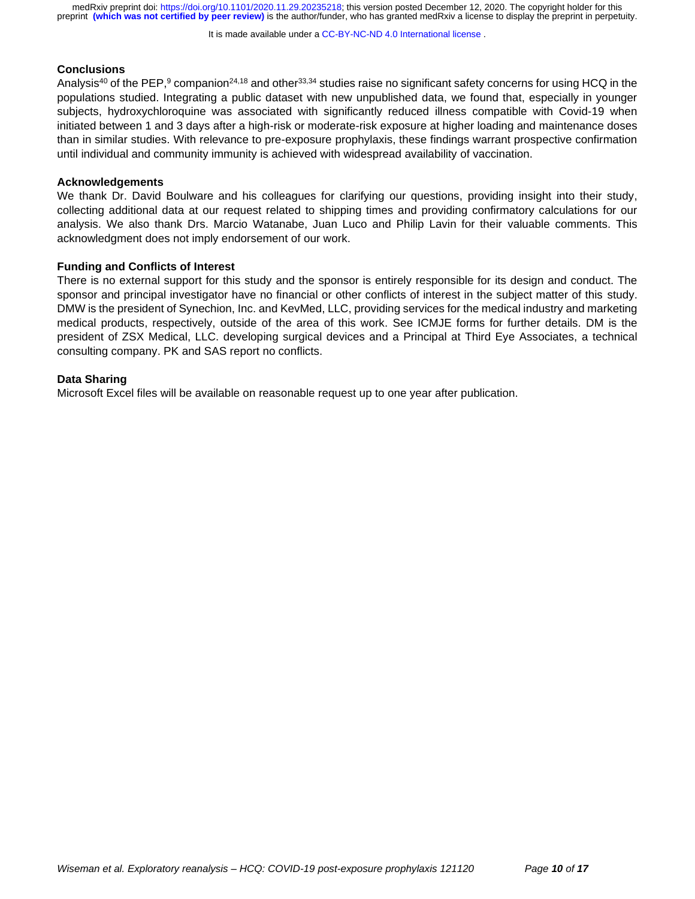It is made available under a CC-BY-NC-ND 4.0 International license.

#### **Conclusions**

Analysis<sup>40</sup> of the PEP,<sup>9</sup> companion<sup>24,18</sup> and other<sup>33,34</sup> studies raise no significant safety concerns for using HCQ in the populations studied. Integrating a public dataset with new unpublished data, we found that, especially in younger subjects, hydroxychloroquine was associated with significantly reduced illness compatible with Covid-19 when initiated between 1 and 3 days after a high-risk or moderate-risk exposure at higher loading and maintenance doses than in similar studies. With relevance to pre-exposure prophylaxis, these findings warrant prospective confirmation until individual and community immunity is achieved with widespread availability of vaccination.

#### **Acknowledgements**

We thank Dr. David Boulware and his colleagues for clarifying our questions, providing insight into their study, collecting additional data at our request related to shipping times and providing confirmatory calculations for our analysis. We also thank Drs. Marcio Watanabe, Juan Luco and Philip Lavin for their valuable comments. This acknowledgment does not imply endorsement of our work.

#### **Funding and Conflicts of Interest**

There is no external support for this study and the sponsor is entirely responsible for its design and conduct. The sponsor and principal investigator have no financial or other conflicts of interest in the subject matter of this study. DMW is the president of Synechion, Inc. and KevMed, LLC, providing services for the medical industry and marketing medical products, respectively, outside of the area of this work. See ICMJE forms for further details. DM is the president of ZSX Medical, LLC. developing surgical devices and a Principal at Third Eye Associates, a technical consulting company. PK and SAS report no conflicts.

#### **Data Sharing**

Microsoft Excel files will be available on reasonable request up to one year after publication.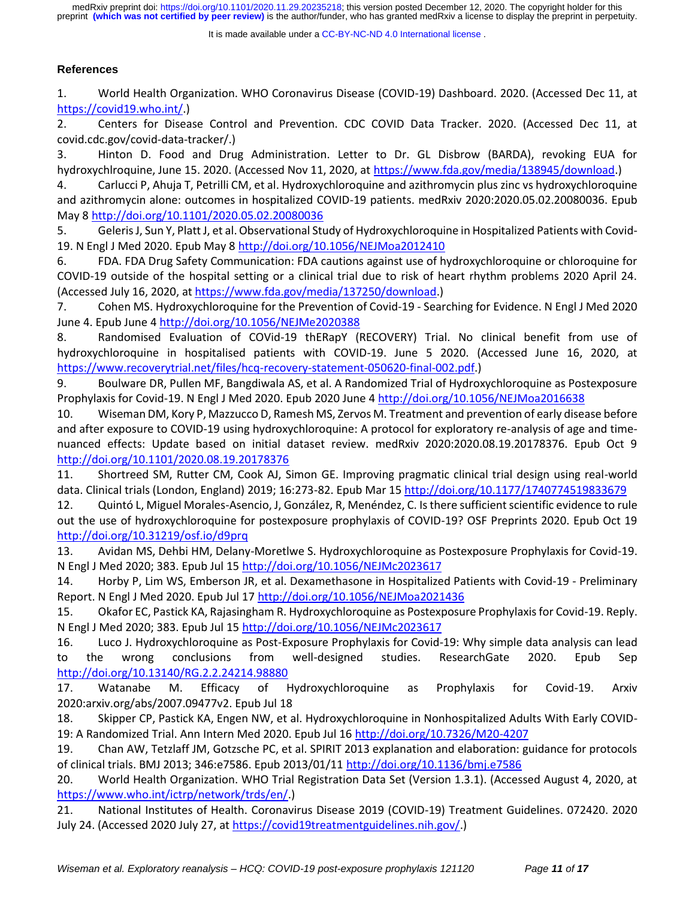It is made available under a CC-BY-NC-ND 4.0 International license.

# **References**

1. World Health Organization. WHO Coronavirus Disease (COVID-19) Dashboard. 2020. (Accessed Dec 11, at [https://covid19.who.int/.](https://covid19.who.int/))

2. Centers for Disease Control and Prevention. CDC COVID Data Tracker. 2020. (Accessed Dec 11, at covid.cdc.gov/covid-data-tracker/.)

3. Hinton D. Food and Drug Administration. Letter to Dr. GL Disbrow (BARDA), revoking EUA for hydroxychlroquine, June 15. 2020. (Accessed Nov 11, 2020, at [https://www.fda.gov/media/138945/download.](https://www.fda.gov/media/138945/download))

4. Carlucci P, Ahuja T, Petrilli CM, et al. Hydroxychloroquine and azithromycin plus zinc vs hydroxychloroquine and azithromycin alone: outcomes in hospitalized COVID-19 patients. medRxiv 2020:2020.05.02.20080036. Epub May [8 http://doi.org/10.1101/2020.05.02.20080036](http://doi.org/10.1101/2020.05.02.20080036)

5. Geleris J, Sun Y, Platt J, et al. Observational Study of Hydroxychloroquine in Hospitalized Patients with Covid-19. N Engl J Med 2020. Epub May 8<http://doi.org/10.1056/NEJMoa2012410>

6. FDA. FDA Drug Safety Communication: FDA cautions against use of hydroxychloroquine or chloroquine for COVID-19 outside of the hospital setting or a clinical trial due to risk of heart rhythm problems 2020 April 24. (Accessed July 16, 2020, at [https://www.fda.gov/media/137250/download.](https://www.fda.gov/media/137250/download))

7. Cohen MS. Hydroxychloroquine for the Prevention of Covid-19 - Searching for Evidence. N Engl J Med 2020 June 4. Epub June [4 http://doi.org/10.1056/NEJMe2020388](http://doi.org/10.1056/NEJMe2020388)

8. Randomised Evaluation of COVid-19 thERapY (RECOVERY) Trial. No clinical benefit from use of hydroxychloroquine in hospitalised patients with COVID-19. June 5 2020. (Accessed June 16, 2020, at [https://www.recoverytrial.net/files/hcq-recovery-statement-050620-final-002.pdf.](https://www.recoverytrial.net/files/hcq-recovery-statement-050620-final-002.pdf))

9. Boulware DR, Pullen MF, Bangdiwala AS, et al. A Randomized Trial of Hydroxychloroquine as Postexposure Prophylaxis for Covid-19. N Engl J Med 2020. Epub 2020 June 4<http://doi.org/10.1056/NEJMoa2016638>

10. Wiseman DM, Kory P, Mazzucco D, Ramesh MS, Zervos M. Treatment and prevention of early disease before and after exposure to COVID-19 using hydroxychloroquine: A protocol for exploratory re-analysis of age and timenuanced effects: Update based on initial dataset review. medRxiv 2020:2020.08.19.20178376. Epub Oct 9 <http://doi.org/10.1101/2020.08.19.20178376>

11. Shortreed SM, Rutter CM, Cook AJ, Simon GE. Improving pragmatic clinical trial design using real-world data. Clinical trials (London, England) 2019; 16:273-82. Epub Mar 15<http://doi.org/10.1177/1740774519833679>

12. Quintó L, Miguel Morales-Asencio, J, González, R, Menéndez, C. Is there sufficient scientific evidence to rule out the use of hydroxychloroquine for postexposure prophylaxis of COVID-19? OSF Preprints 2020. Epub Oct 19 <http://doi.org/10.31219/osf.io/d9prq>

13. Avidan MS, Dehbi HM, Delany-Moretlwe S. Hydroxychloroquine as Postexposure Prophylaxis for Covid-19. N Engl J Med 2020; 383. Epub Jul 15<http://doi.org/10.1056/NEJMc2023617>

14. Horby P, Lim WS, Emberson JR, et al. Dexamethasone in Hospitalized Patients with Covid-19 - Preliminary Report. N Engl J Med 2020. Epub Jul 17<http://doi.org/10.1056/NEJMoa2021436>

15. Okafor EC, Pastick KA, Rajasingham R. Hydroxychloroquine as Postexposure Prophylaxis for Covid-19. Reply. N Engl J Med 2020; 383. Epub Jul 15<http://doi.org/10.1056/NEJMc2023617>

16. Luco J. Hydroxychloroquine as Post-Exposure Prophylaxis for Covid-19: Why simple data analysis can lead to the wrong conclusions from well-designed studies. ResearchGate 2020. Epub Sep <http://doi.org/10.13140/RG.2.2.24214.98880>

17. Watanabe M. Efficacy of Hydroxychloroquine as Prophylaxis for Covid-19. Arxiv 2020:arxiv.org/abs/2007.09477v2. Epub Jul 18

18. Skipper CP, Pastick KA, Engen NW, et al. Hydroxychloroquine in Nonhospitalized Adults With Early COVID-19: A Randomized Trial. Ann Intern Med 2020. Epub Jul 1[6 http://doi.org/10.7326/M20-4207](http://doi.org/10.7326/M20-4207)

19. Chan AW, Tetzlaff JM, Gotzsche PC, et al. SPIRIT 2013 explanation and elaboration: guidance for protocols of clinical trials. BMJ 2013; 346:e7586. Epub 2013/01/11<http://doi.org/10.1136/bmj.e7586>

20. World Health Organization. WHO Trial Registration Data Set (Version 1.3.1). (Accessed August 4, 2020, at [https://www.who.int/ictrp/network/trds/en/.](https://www.who.int/ictrp/network/trds/en/))

21. National Institutes of Health. Coronavirus Disease 2019 (COVID-19) Treatment Guidelines. 072420. 2020 July 24. (Accessed 2020 July 27, at [https://covid19treatmentguidelines.nih.gov/.](https://covid19treatmentguidelines.nih.gov/))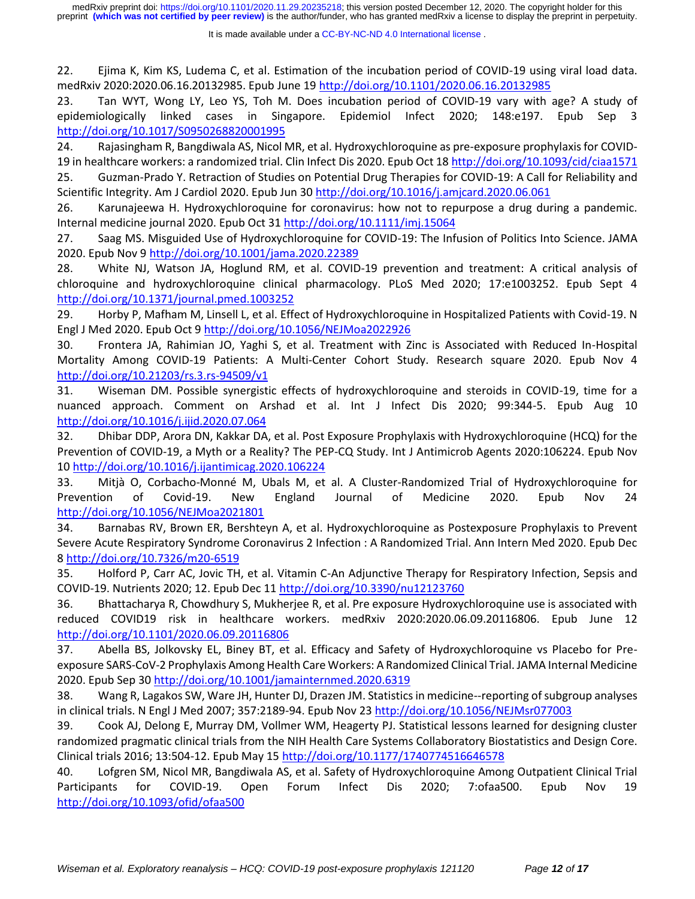22. Ejima K, Kim KS, Ludema C, et al. Estimation of the incubation period of COVID-19 using viral load data. medRxiv 2020:2020.06.16.20132985. Epub June 19<http://doi.org/10.1101/2020.06.16.20132985>

23. Tan WYT, Wong LY, Leo YS, Toh M. Does incubation period of COVID-19 vary with age? A study of epidemiologically linked cases in Singapore. Epidemiol Infect 2020; 148:e197. Epub Sep 3 <http://doi.org/10.1017/S0950268820001995>

24. Rajasingham R, Bangdiwala AS, Nicol MR, et al. Hydroxychloroquine as pre-exposure prophylaxis for COVID-19 in healthcare workers: a randomized trial. Clin Infect Dis 2020. Epub Oct 1[8 http://doi.org/10.1093/cid/ciaa1571](http://doi.org/10.1093/cid/ciaa1571)

25. Guzman-Prado Y. Retraction of Studies on Potential Drug Therapies for COVID-19: A Call for Reliability and Scientific Integrity. Am J Cardiol 2020. Epub Jun 30<http://doi.org/10.1016/j.amjcard.2020.06.061>

26. Karunajeewa H. Hydroxychloroquine for coronavirus: how not to repurpose a drug during a pandemic. Internal medicine journal 2020. Epub Oct 31<http://doi.org/10.1111/imj.15064>

27. Saag MS. Misguided Use of Hydroxychloroquine for COVID-19: The Infusion of Politics Into Science. JAMA 2020. Epub Nov [9 http://doi.org/10.1001/jama.2020.22389](http://doi.org/10.1001/jama.2020.22389)

28. White NJ, Watson JA, Hoglund RM, et al. COVID-19 prevention and treatment: A critical analysis of chloroquine and hydroxychloroquine clinical pharmacology. PLoS Med 2020; 17:e1003252. Epub Sept 4 <http://doi.org/10.1371/journal.pmed.1003252>

29. Horby P, Mafham M, Linsell L, et al. Effect of Hydroxychloroquine in Hospitalized Patients with Covid-19. N Engl J Med 2020. Epub Oct 9<http://doi.org/10.1056/NEJMoa2022926>

30. Frontera JA, Rahimian JO, Yaghi S, et al. Treatment with Zinc is Associated with Reduced In-Hospital Mortality Among COVID-19 Patients: A Multi-Center Cohort Study. Research square 2020. Epub Nov 4 <http://doi.org/10.21203/rs.3.rs-94509/v1>

31. Wiseman DM. Possible synergistic effects of hydroxychloroquine and steroids in COVID-19, time for a nuanced approach. Comment on Arshad et al. Int J Infect Dis 2020; 99:344-5. Epub Aug 10 <http://doi.org/10.1016/j.ijid.2020.07.064>

32. Dhibar DDP, Arora DN, Kakkar DA, et al. Post Exposure Prophylaxis with Hydroxychloroquine (HCQ) for the Prevention of COVID-19, a Myth or a Reality? The PEP-CQ Study. Int J Antimicrob Agents 2020:106224. Epub Nov 10<http://doi.org/10.1016/j.ijantimicag.2020.106224>

33. Mitjà O, Corbacho-Monné M, Ubals M, et al. A Cluster-Randomized Trial of Hydroxychloroquine for Prevention of Covid-19. New England Journal of Medicine 2020. Epub Nov 24 <http://doi.org/10.1056/NEJMoa2021801>

34. Barnabas RV, Brown ER, Bershteyn A, et al. Hydroxychloroquine as Postexposure Prophylaxis to Prevent Severe Acute Respiratory Syndrome Coronavirus 2 Infection : A Randomized Trial. Ann Intern Med 2020. Epub Dec 8<http://doi.org/10.7326/m20-6519>

35. Holford P, Carr AC, Jovic TH, et al. Vitamin C-An Adjunctive Therapy for Respiratory Infection, Sepsis and COVID-19. Nutrients 2020; 12. Epub Dec 11<http://doi.org/10.3390/nu12123760>

36. Bhattacharya R, Chowdhury S, Mukherjee R, et al. Pre exposure Hydroxychloroquine use is associated with reduced COVID19 risk in healthcare workers. medRxiv 2020:2020.06.09.20116806. Epub June 12 <http://doi.org/10.1101/2020.06.09.20116806>

37. Abella BS, Jolkovsky EL, Biney BT, et al. Efficacy and Safety of Hydroxychloroquine vs Placebo for Preexposure SARS-CoV-2 Prophylaxis Among Health Care Workers: A Randomized Clinical Trial. JAMA Internal Medicine 2020. Epub Sep 3[0 http://doi.org/10.1001/jamainternmed.2020.6319](http://doi.org/10.1001/jamainternmed.2020.6319)

38. Wang R, Lagakos SW, Ware JH, Hunter DJ, Drazen JM. Statistics in medicine--reporting of subgroup analyses in clinical trials. N Engl J Med 2007; 357:2189-94. Epub Nov 23<http://doi.org/10.1056/NEJMsr077003>

39. Cook AJ, Delong E, Murray DM, Vollmer WM, Heagerty PJ. Statistical lessons learned for designing cluster randomized pragmatic clinical trials from the NIH Health Care Systems Collaboratory Biostatistics and Design Core. Clinical trials 2016; 13:504-12. Epub May 1[5 http://doi.org/10.1177/1740774516646578](http://doi.org/10.1177/1740774516646578)

40. Lofgren SM, Nicol MR, Bangdiwala AS, et al. Safety of Hydroxychloroquine Among Outpatient Clinical Trial Participants for COVID-19. Open Forum Infect Dis 2020; 7:ofaa500. Epub Nov 19 <http://doi.org/10.1093/ofid/ofaa500>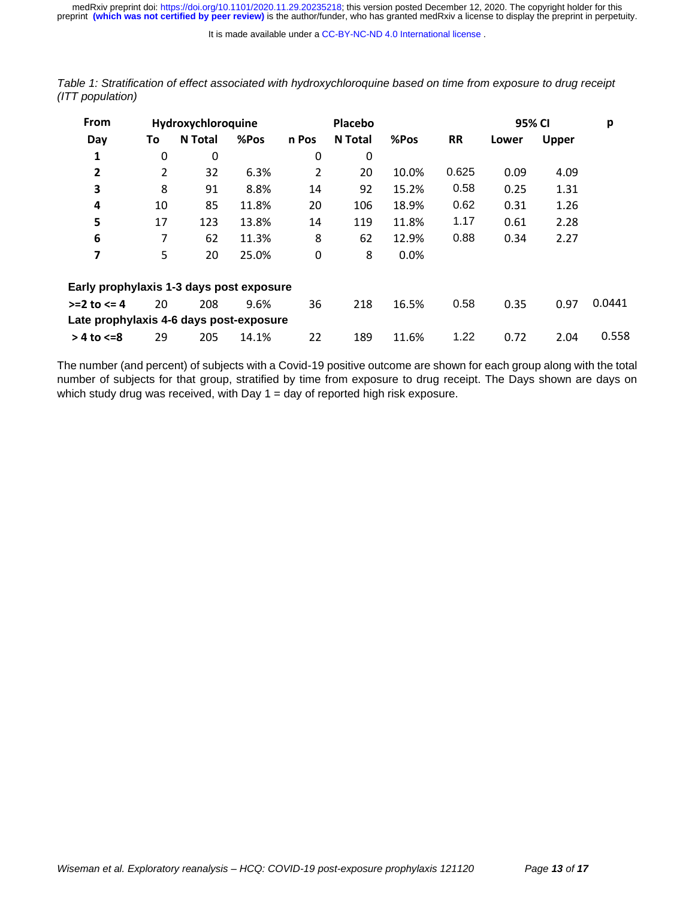It is made available under a [CC-BY-NC-ND 4.0 International license](http://creativecommons.org/licenses/by-nc-nd/4.0/) .

| <b>From</b><br>Hydroxychloroquine        |    |                |       |       | Placebo |       | 95% CI    | р     |              |        |
|------------------------------------------|----|----------------|-------|-------|---------|-------|-----------|-------|--------------|--------|
| Day                                      | To | <b>N</b> Total | %Pos  | n Pos | N Total | %Pos  | <b>RR</b> | Lower | <b>Upper</b> |        |
| 1                                        | 0  | 0              |       | 0     | 0       |       |           |       |              |        |
| $\mathbf{2}$                             | 2  | 32             | 6.3%  | 2     | 20      | 10.0% | 0.625     | 0.09  | 4.09         |        |
| 3                                        | 8  | 91             | 8.8%  | 14    | 92      | 15.2% | 0.58      | 0.25  | 1.31         |        |
| 4                                        | 10 | 85             | 11.8% | 20    | 106     | 18.9% | 0.62      | 0.31  | 1.26         |        |
| 5                                        | 17 | 123            | 13.8% | 14    | 119     | 11.8% | 1.17      | 0.61  | 2.28         |        |
| 6                                        | 7  | 62             | 11.3% | 8     | 62      | 12.9% | 0.88      | 0.34  | 2.27         |        |
| 7                                        | 5  | 20             | 25.0% | 0     | 8       | 0.0%  |           |       |              |        |
| Early prophylaxis 1-3 days post exposure |    |                |       |       |         |       |           |       |              |        |
| $>=2$ to $<=4$                           | 20 | 208            | 9.6%  | 36    | 218     | 16.5% | 0.58      | 0.35  | 0.97         | 0.0441 |
| Late prophylaxis 4-6 days post-exposure  |    |                |       |       |         |       |           |       |              |        |
| $> 4$ to $\leq 8$                        | 29 | 205            | 14.1% | 22    | 189     | 11.6% | 1.22      | 0.72  | 2.04         | 0.558  |
|                                          |    |                |       |       |         |       |           |       |              |        |

<span id="page-12-0"></span>*Table 1: Stratification of effect associated with hydroxychloroquine based on time from exposure to drug receipt (ITT population)*

The number (and percent) of subjects with a Covid-19 positive outcome are shown for each group along with the total number of subjects for that group, stratified by time from exposure to drug receipt. The Days shown are days on which study drug was received, with Day  $1 =$  day of reported high risk exposure.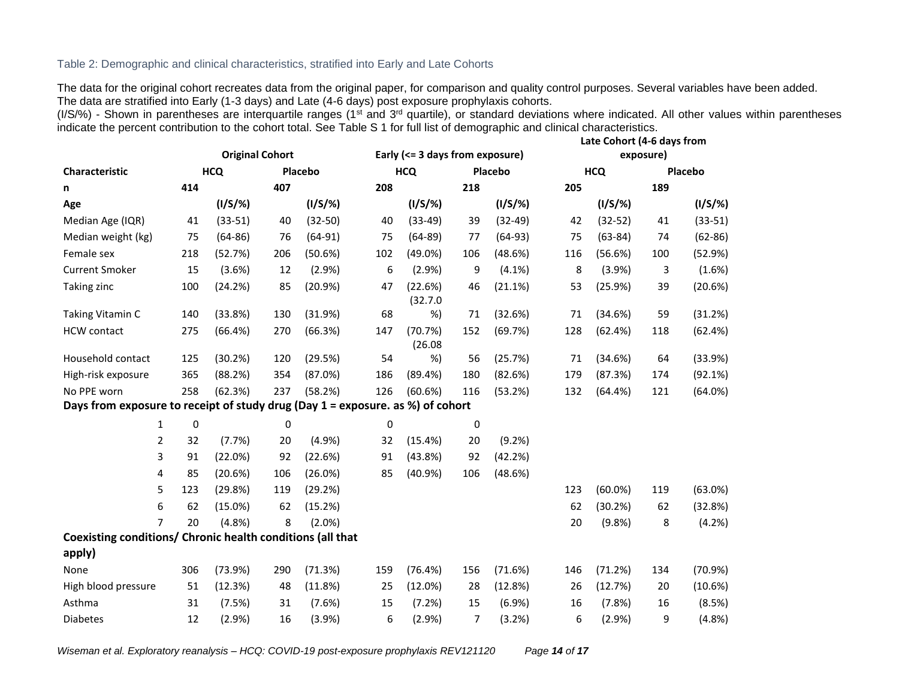# Table 2: Demographic and clinical characteristics, stratified into Early and Late Cohorts

The data for the original cohort recreates data from the original paper, for comparison and quality control purposes. Several variables have been added. The data are stratified into Early (1-3 days) and Late (4-6 days) post exposure prophylaxis cohorts.

(I/S/%) - Shown in parentheses are interquartile ranges (1<sup>st</sup> and 3<sup>rd</sup> quartile), or standard deviations where indicated. All other values within parentheses indicate the percent contribution to the cohort total. See Table S 1 for full list of demographic and clinical characteristics.

<span id="page-13-0"></span>

|                                                                                |                        |            |     |            | Late Cohort (4-6 days from      |                     |     |            |           |             |     |             |
|--------------------------------------------------------------------------------|------------------------|------------|-----|------------|---------------------------------|---------------------|-----|------------|-----------|-------------|-----|-------------|
|                                                                                | <b>Original Cohort</b> |            |     |            | Early (<= 3 days from exposure) |                     |     |            | exposure) |             |     |             |
| Characteristic                                                                 |                        | <b>HCQ</b> |     | Placebo    |                                 | <b>HCQ</b>          |     | Placebo    |           | <b>HCQ</b>  |     | Placebo     |
| n                                                                              | 414                    |            | 407 |            | 208                             |                     | 218 |            | 205       |             | 189 |             |
| Age                                                                            |                        | $(1/S/\%)$ |     | $(1/S/\%)$ |                                 | $(1/S/\%)$          |     | $(1/S/\%)$ |           | $(1/S/\%)$  |     | $(1/S/\%)$  |
| Median Age (IQR)                                                               | 41                     | $(33-51)$  | 40  | $(32-50)$  | 40                              | $(33-49)$           | 39  | $(32-49)$  | 42        | $(32-52)$   | 41  | $(33-51)$   |
| Median weight (kg)                                                             | 75                     | $(64-86)$  | 76  | $(64-91)$  | 75                              | $(64-89)$           | 77  | $(64-93)$  | 75        | $(63 - 84)$ | 74  | $(62 - 86)$ |
| Female sex                                                                     | 218                    | (52.7%)    | 206 | (50.6%)    | 102                             | $(49.0\%)$          | 106 | (48.6%)    | 116       | (56.6%)     | 100 | (52.9%)     |
| <b>Current Smoker</b>                                                          | 15                     | (3.6%)     | 12  | (2.9%      | 6                               | (2.9%)              | 9   | $(4.1\%)$  | 8         | (3.9%)      | 3   | (1.6%)      |
| Taking zinc                                                                    | 100                    | (24.2%)    | 85  | (20.9%)    | 47                              | (22.6%)<br>(32.7.0) | 46  | (21.1%)    | 53        | (25.9%)     | 39  | (20.6%)     |
| Taking Vitamin C                                                               | 140                    | (33.8%)    | 130 | (31.9%)    | 68                              | %)                  | 71  | (32.6%)    | 71        | (34.6%)     | 59  | (31.2%)     |
| <b>HCW</b> contact                                                             | 275                    | (66.4%)    | 270 | (66.3%)    | 147                             | (70.7%)<br>(26.08)  | 152 | (69.7%)    | 128       | (62.4%)     | 118 | (62.4%)     |
| Household contact                                                              | 125                    | (30.2%)    | 120 | (29.5%)    | 54                              | %)                  | 56  | (25.7%)    | 71        | (34.6%)     | 64  | (33.9%)     |
| High-risk exposure                                                             | 365                    | (88.2%)    | 354 | (87.0%)    | 186                             | (89.4%)             | 180 | (82.6%)    | 179       | (87.3%)     | 174 | (92.1%)     |
| No PPE worn                                                                    | 258                    | (62.3%)    | 237 | (58.2%)    | 126                             | (60.6%)             | 116 | (53.2%)    | 132       | (64.4%)     | 121 | (64.0%)     |
| Days from exposure to receipt of study drug (Day 1 = exposure. as %) of cohort |                        |            |     |            |                                 |                     |     |            |           |             |     |             |
| $\mathbf{1}$                                                                   | 0                      |            | 0   |            | 0                               |                     | 0   |            |           |             |     |             |
| 2                                                                              | 32                     | (7.7%)     | 20  | (4.9%      | 32                              | (15.4%)             | 20  | (9.2%)     |           |             |     |             |
| 3                                                                              | 91                     | (22.0%)    | 92  | (22.6%)    | 91                              | $(43.8\%)$          | 92  | (42.2%)    |           |             |     |             |
| 4                                                                              | 85                     | (20.6%)    | 106 | (26.0%)    | 85                              | (40.9%)             | 106 | (48.6%)    |           |             |     |             |
| 5                                                                              | 123                    | (29.8%)    | 119 | (29.2%)    |                                 |                     |     |            | 123       | $(60.0\%)$  | 119 | $(63.0\%)$  |
| 6                                                                              | 62                     | $(15.0\%)$ | 62  | (15.2%)    |                                 |                     |     |            | 62        | (30.2%)     | 62  | (32.8%)     |
| $\overline{7}$                                                                 | 20                     | (4.8%)     | 8   | $(2.0\%)$  |                                 |                     |     |            | 20        | (9.8% )     | 8   | (4.2%)      |
| Coexisting conditions/ Chronic health conditions (all that                     |                        |            |     |            |                                 |                     |     |            |           |             |     |             |
| apply)                                                                         |                        |            |     |            |                                 |                     |     |            |           |             |     |             |
| None                                                                           | 306                    | (73.9%)    | 290 | (71.3%)    | 159                             | (76.4%)             | 156 | (71.6%)    | 146       | (71.2%)     | 134 | (70.9%)     |
| High blood pressure                                                            | 51                     | (12.3%)    | 48  | (11.8%)    | 25                              | (12.0%)             | 28  | (12.8%)    | 26        | (12.7%)     | 20  | (10.6%)     |
| Asthma                                                                         | 31                     | (7.5%)     | 31  | (7.6%)     | 15                              | (7.2%)              | 15  | (6.9%)     | 16        | (7.8%)      | 16  | (8.5%)      |
| <b>Diabetes</b>                                                                | 12                     | (2.9%      | 16  | (3.9%)     | 6                               | (2.9%)              | 7   | (3.2%)     | 6         | (2.9%)      | 9   | (4.8%)      |

*Wiseman et al. Exploratory reanalysis – HCQ: COVID-19 post-exposure prophylaxis REV121120 Page 14 of 17*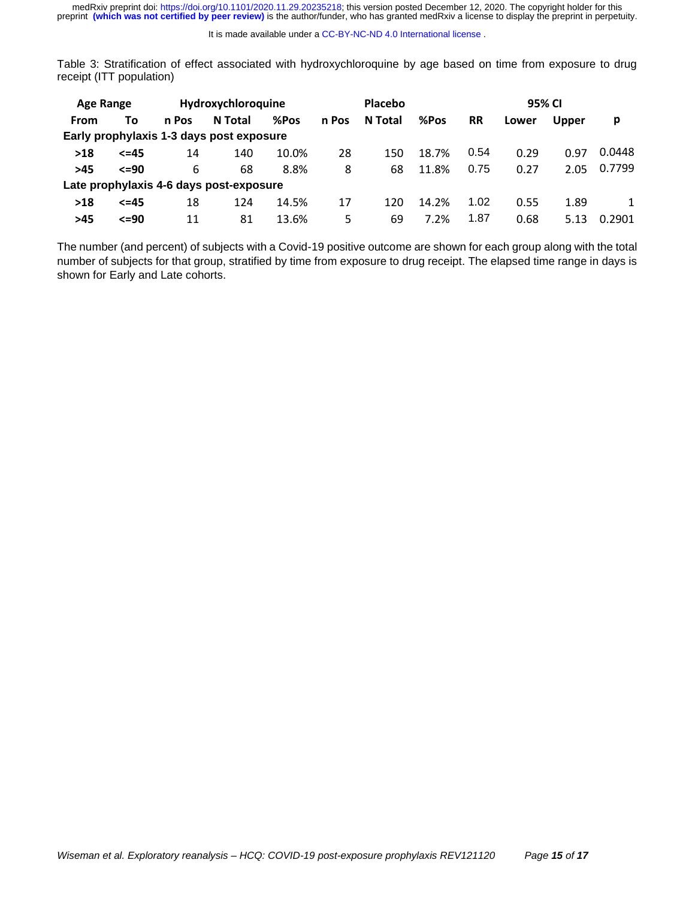Table 3: Stratification of effect associated with hydroxychloroquine by age based on time from exposure to drug receipt (ITT population)

| <b>Age Range</b>                         |             |       | Hydroxychloroquine |       |       | Placebo |       |           | 95% CI |              |        |  |
|------------------------------------------|-------------|-------|--------------------|-------|-------|---------|-------|-----------|--------|--------------|--------|--|
| From                                     | To          | n Pos | N Total            | %Pos  | n Pos | N Total | %Pos  | <b>RR</b> | Lower  | <b>Upper</b> | р      |  |
| Early prophylaxis 1-3 days post exposure |             |       |                    |       |       |         |       |           |        |              |        |  |
| $>18$                                    | $\leq$ = 45 | 14    | 140                | 10.0% | 28    | 150     | 18.7% | 0.54      | 0.29   | 0.97         | 0.0448 |  |
| $>45$                                    | $\leq$ =90  | 6     | 68                 | 8.8%  | 8     | 68      | 11.8% | 0.75      | 0.27   | 2.05         | 0.7799 |  |
| Late prophylaxis 4-6 days post-exposure  |             |       |                    |       |       |         |       |           |        |              |        |  |
| $>18$                                    | $\leq$ = 45 | 18    | 124                | 14.5% | 17    | 120     | 14.2% | 1.02      | 0.55   | 1.89         | 1      |  |
| >45                                      | $\leq$ =90  | 11    | 81                 | 13.6% | 5     | 69      | 7.2%  | 1.87      | 0.68   | 5.13         | 0.2901 |  |

The number (and percent) of subjects with a Covid-19 positive outcome are shown for each group along with the total number of subjects for that group, stratified by time from exposure to drug receipt. The elapsed time range in days is shown for Early and Late cohorts.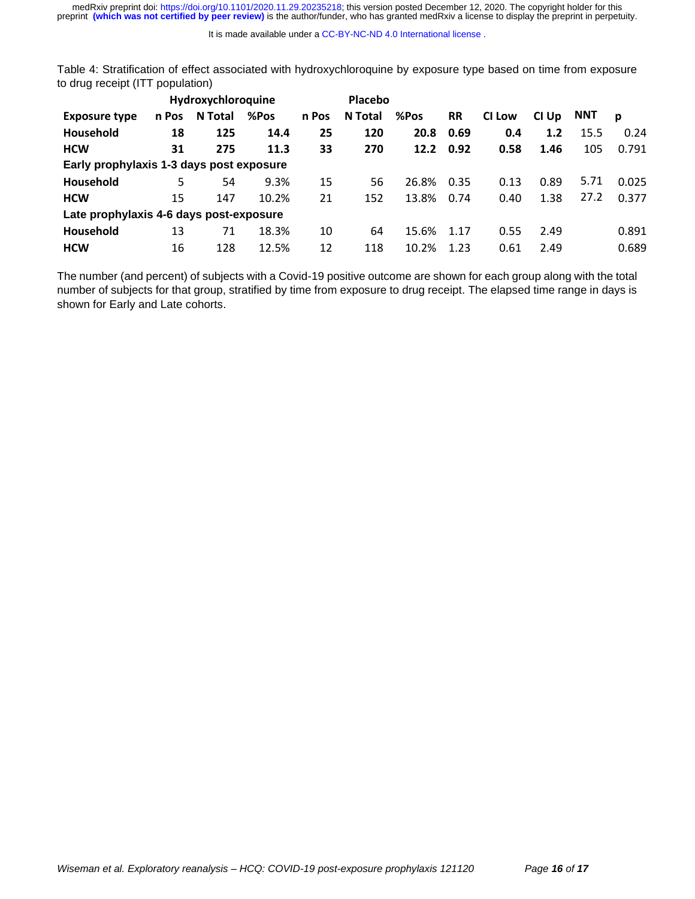medRxiv preprint doi: [https://doi.org/10.1101/2020.11.29.20235218;](https://doi.org/10.1101/2020.11.29.20235218) this version posted December 12, 2020. The copyright holder for this<br>preprint (which was not certified by peer review) is the author/funder, who has grante

<span id="page-15-0"></span>Table 4: Stratification of effect associated with hydroxychloroquine by exposure type based on time from exposure to drug receipt (ITT population)

|                                          |       | Hydroxychloroquine |       |       | Placebo |       |           |               |       |            |       |
|------------------------------------------|-------|--------------------|-------|-------|---------|-------|-----------|---------------|-------|------------|-------|
| <b>Exposure type</b>                     | n Pos | N Total            | %Pos  | n Pos | N Total | %Pos  | <b>RR</b> | <b>CI Low</b> | CI Up | <b>NNT</b> | D     |
| Household                                | 18    | 125                | 14.4  | 25    | 120     | 20.8  | 0.69      | 0.4           | 1.2   | 15.5       | 0.24  |
| <b>HCW</b>                               | 31    | 275                | 11.3  | 33    | 270     | 12.2  | 0.92      | 0.58          | 1.46  | 105        | 0.791 |
| Early prophylaxis 1-3 days post exposure |       |                    |       |       |         |       |           |               |       |            |       |
| Household                                | 5     | 54                 | 9.3%  | 15    | 56      | 26.8% | 0.35      | 0.13          | 0.89  | 5.71       | 0.025 |
| <b>HCW</b>                               | 15    | 147                | 10.2% | 21    | 152     | 13.8% | 0.74      | 0.40          | 1.38  | 27.2       | 0.377 |
| Late prophylaxis 4-6 days post-exposure  |       |                    |       |       |         |       |           |               |       |            |       |
| Household                                | 13    | 71                 | 18.3% | 10    | 64      | 15.6% | 1.17      | 0.55          | 2.49  |            | 0.891 |
| <b>HCW</b>                               | 16    | 128                | 12.5% | 12    | 118     | 10.2% | 1.23      | 0.61          | 2.49  |            | 0.689 |

The number (and percent) of subjects with a Covid-19 positive outcome are shown for each group along with the total number of subjects for that group, stratified by time from exposure to drug receipt. The elapsed time range in days is shown for Early and Late cohorts.

It is made available under a [CC-BY-NC-ND 4.0 International license](http://creativecommons.org/licenses/by-nc-nd/4.0/) .